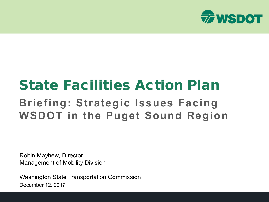

# State Facilities Action Plan **Briefing: Strategic Issues Facing WSDOT in the Puget Sound Region**

Robin Mayhew, Director Management of Mobility Division

Washington State Transportation Commission December 12, 2017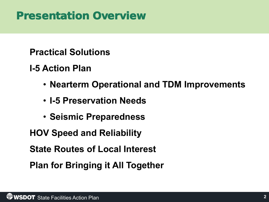### Presentation Overview

### **Practical Solutions**

### **I-5 Action Plan**

- **Nearterm Operational and TDM Improvements**
- **I-5 Preservation Needs**
- **Seismic Preparedness**

**HOV Speed and Reliability**

**State Routes of Local Interest**

**Plan for Bringing it All Together**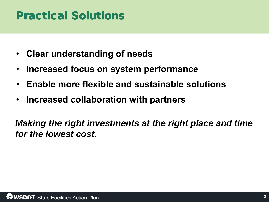## Practical Solutions

- **Clear understanding of needs**
- **Increased focus on system performance**
- **Enable more flexible and sustainable solutions**
- **Increased collaboration with partners**

*Making the right investments at the right place and time for the lowest cost.*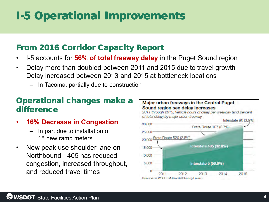# I-5 Operational Improvements

### From 2016 Corridor Capacity Report

- I-5 accounts for **56% of total freeway delay** in the Puget Sound region
- Delay more than doubled between 2011 and 2015 due to travel growth Delay increased between 2013 and 2015 at bottleneck locations
	- In Tacoma, partially due to construction

### Operational changes make a difference

- **16% Decrease in Congestion** 
	- In part due to installation of 18 new ramp meters
- New peak use shoulder lane on Northbound I-405 has reduced congestion, increased throughput, and reduced travel times

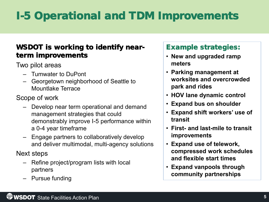# I-5 Operational and TDM Improvements

#### WSDOT is working to identify nearterm improvements

Two pilot areas

- Tumwater to DuPont
- Georgetown neighborhood of Seattle to Mountlake Terrace

Scope of work

- Develop near term operational and demand management strategies that could demonstrably improve I-5 performance within a 0-4 year timeframe
- Engage partners to collaboratively develop and deliver multimodal, multi-agency solutions

Next steps

- Refine project/program lists with local partners
- Pursue funding

#### Example strategies:

- **New and upgraded ramp meters**
- **Parking management at worksites and overcrowded park and rides**
- **HOV lane dynamic control**
- **Expand bus on shoulder**
- **Expand shift workers' use of transit**
- **First- and last-mile to transit improvements**
- **Expand use of telework, compressed work schedules and flexible start times**
- **Expand vanpools through community partnerships**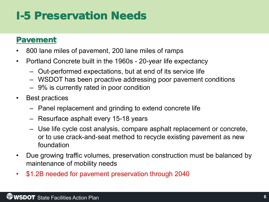### I-5 Preservation Needs

#### Pavement

- 800 lane miles of pavement, 200 lane miles of ramps
- Portland Concrete built in the 1960s 20-year life expectancy
	- Out-performed expectations, but at end of its service life
	- WSDOT has been proactive addressing poor pavement conditions
	- 9% is currently rated in poor condition
- Best practices
	- Panel replacement and grinding to extend concrete life
	- Resurface asphalt every 15-18 years
	- Use life cycle cost analysis, compare asphalt replacement or concrete, or to use crack-and-seat method to recycle existing pavement as new foundation
- Due growing traffic volumes, preservation construction must be balanced by maintenance of mobility needs
- \$1.2B needed for pavement preservation through 2040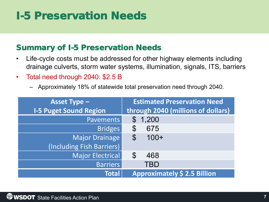### I-5 Preservation Needs

#### Summary of I-5 Preservation Needs

- Life-cycle costs must be addressed for other highway elements including drainage culverts, storm water systems, illumination, signals, ITS, barriers
- Total need through 2040: \$2.5 B
	- Approximately 18% of statewide total preservation need through 2040.

| <b>Asset Type -</b>           | <b>Estimated Preservation Need</b>  |  |  |
|-------------------------------|-------------------------------------|--|--|
| <b>I-5 Puget Sound Region</b> | through 2040 (millions of dollars)  |  |  |
| <b>Pavements</b>              | 1,200<br>$\mathbb{S}^-$             |  |  |
| <b>Bridges</b>                | 675<br>$\mathcal{C}$                |  |  |
| Major Drainage                | $100+$<br>$\mathcal{S}$             |  |  |
| (Including Fish Barriers)     |                                     |  |  |
| Major Electrical              | $\mathcal{S}$<br>468                |  |  |
| <b>Barriers</b>               | TBD                                 |  |  |
| <b>Total</b>                  | <b>Approximately \$ 2.5 Billion</b> |  |  |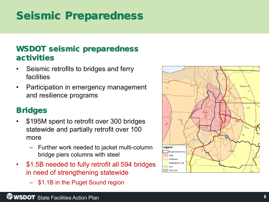### Seismic Preparedness

### WSDOT seismic preparedness activities

- Seismic retrofits to bridges and ferry facilities
- Participation in emergency management and resilience programs

### **Bridges**

- \$195M spent to retrofit over 300 bridges statewide and partially retrofit over 100 more
	- Further work needed to jacket multi-column bridge piers columns with steel
- \$1.5B needed to fully retrofit all 594 bridges in need of strengthening statewide
	- \$1.1B in the Puget Sound region

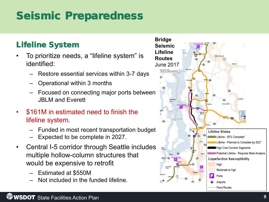## Seismic Preparedness

### Lifeline System

- To prioritize needs, a "lifeline system" is identified:
	- Restore essential services within 3-7 days
	- Operational within 3 months
	- Focused on connecting major ports between JBLM and Everett
- \$161M in estimated need to finish the lifeline system.
	- Funded in most recent transportation budget
	- Expected to be complete in 2027.
- Central I-5 corridor through Seattle includes multiple hollow-column structures that would be expensive to retrofit
	- Estimated at \$550M
	- Not included in the funded lifeline.

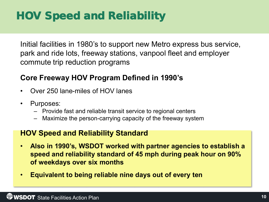## HOV Speed and Reliability

Initial facilities in 1980's to support new Metro express bus service, park and ride lots, freeway stations, vanpool fleet and employer commute trip reduction programs

#### **Core Freeway HOV Program Defined in 1990's**

- Over 250 lane-miles of HOV lanes
- Purposes:
	- Provide fast and reliable transit service to regional centers
	- Maximize the person-carrying capacity of the freeway system

#### **HOV Speed and Reliability Standard**

- **Also in 1990's, WSDOT worked with partner agencies to establish a speed and reliability standard of 45 mph during peak hour on 90% of weekdays over six months**
- **Equivalent to being reliable nine days out of every ten**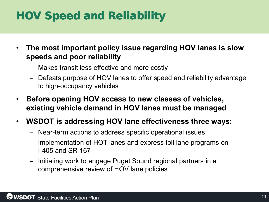# HOV Speed and Reliability

- **The most important policy issue regarding HOV lanes is slow speeds and poor reliability**
	- Makes transit less effective and more costly
	- Defeats purpose of HOV lanes to offer speed and reliability advantage to high-occupancy vehicles
- **Before opening HOV access to new classes of vehicles, existing vehicle demand in HOV lanes must be managed**
- **WSDOT is addressing HOV lane effectiveness three ways:**
	- Near-term actions to address specific operational issues
	- Implementation of HOT lanes and express toll lane programs on I-405 and SR 167
	- Initiating work to engage Puget Sound regional partners in a comprehensive review of HOV lane policies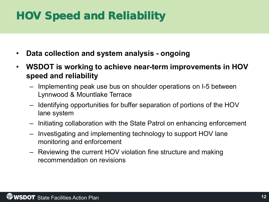## HOV Speed and Reliability

- **Data collection and system analysis - ongoing**
- **WSDOT is working to achieve near-term improvements in HOV speed and reliability**
	- Implementing peak use bus on shoulder operations on I-5 between Lynnwood & Mountlake Terrace
	- Identifying opportunities for buffer separation of portions of the HOV lane system
	- Initiating collaboration with the State Patrol on enhancing enforcement
	- Investigating and implementing technology to support HOV lane monitoring and enforcement
	- Reviewing the current HOV violation fine structure and making recommendation on revisions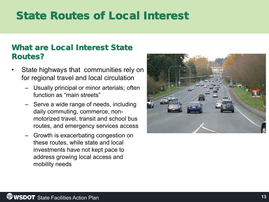### State Routes of Local Interest

#### What are Local Interest State Routes?

- State highways that communities rely on for regional travel and local circulation
	- Usually principal or minor arterials; often function as "main streets"
	- Serve a wide range of needs, including daily commuting, commerce, nonmotorized travel, transit and school bus routes, and emergency services access
	- Growth is exacerbating congestion on these routes, while state and local investments have not kept pace to address growing local access and mobility needs

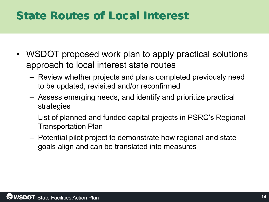### State Routes of Local Interest

- WSDOT proposed work plan to apply practical solutions approach to local interest state routes
	- Review whether projects and plans completed previously need to be updated, revisited and/or reconfirmed
	- Assess emerging needs, and identify and prioritize practical strategies
	- List of planned and funded capital projects in PSRC's Regional Transportation Plan
	- Potential pilot project to demonstrate how regional and state goals align and can be translated into measures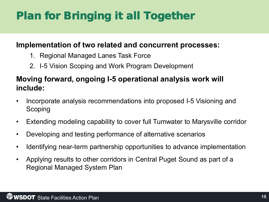# Plan for Bringing it all Together

#### **Implementation of two related and concurrent processes:**

- 1. Regional Managed Lanes Task Force
- 2. I-5 Vision Scoping and Work Program Development

### **Moving forward, ongoing I-5 operational analysis work will include:**

- Incorporate analysis recommendations into proposed I-5 Visioning and Scoping
- Extending modeling capability to cover full Tumwater to Marysville corridor
- Developing and testing performance of alternative scenarios
- Identifying near-term partnership opportunities to advance implementation
- Applying results to other corridors in Central Puget Sound as part of a Regional Managed System Plan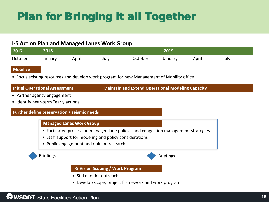# Plan for Bringing it all Together

#### **I-5 Action Plan and Managed Lanes Work Group**

| 2017    | 2018    |       |      | 2019    |         |       |      |
|---------|---------|-------|------|---------|---------|-------|------|
| October | January | April | July | October | January | April | July |

#### **Mobilize**

• Focus existing resources and develop work program for new Management of Mobility office

**Maintain and Extend Operational Modeling Capacity** 

- Partner agency engagement
- Identify near-term "early actions"

#### **Further define preservation / seismic needs**

#### • Facilitated process on managed lane policies and congestion management strategies  **Managed Lanes Work Group**

- Staff support for modeling and policy considerations
- Public engagement and opinion research



#### **I-5 Vision Scoping / Work Program**

- Stakeholder outreach
- Develop scope, project framework and work program